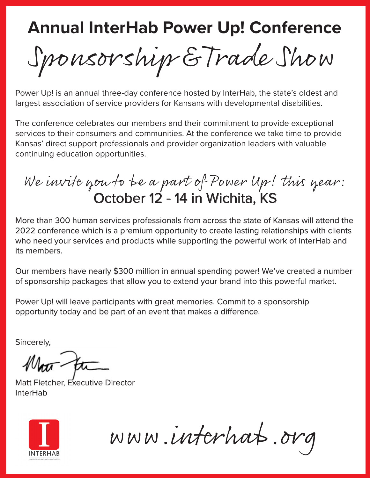Sponsorship & Trade Show

Power Up! is an annual three-day conference hosted by InterHab, the state's oldest and largest association of service providers for Kansans with developmental disabilities.

The conference celebrates our members and their commitment to provide exceptional services to their consumers and communities. At the conference we take time to provide Kansas' direct support professionals and provider organization leaders with valuable continuing education opportunities.

We invite you to be a part of Power Up! this year: October 12 - 14 in Wichita, KS

More than 300 human services professionals from across the state of Kansas will attend the 2022 conference which is a premium opportunity to create lasting relationships with clients who need your services and products while supporting the powerful work of InterHab and its members.

Our members have nearly \$300 million in annual spending power! We've created a number of sponsorship packages that allow you to extend your brand into this powerful market.

Power Up! will leave participants with great memories. Commit to a sponsorship opportunity today and be part of an event that makes a difference.

Sincerely,

Matt Fletcher, Executive Director InterHab



www.interhab.org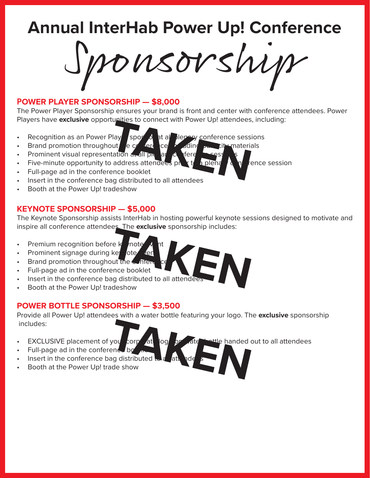Sponsorship

#### **POWER PLAYER SPONSORSHIP — \$8,000**

The Power Player Sponsorship ensures your brand is front and center with conference attendees. Power Players have **exclusive** opportunities to connect with Power Up! attendees, including:

- Recognition as an Power Player sponsor at all plenary conference sessions Play sports at all Herery conference sess<br>but e conference sessentiation and I plus at all plus and the sessential of the sessence booklet<br>ence booklet
- Brand promotion throughout  $\int e^{i\omega t} dt$  centered in confidence, it materials
- Prominent visual representation at all please conference
- Five-minute opportunity to address attendees principle a plenary conference session
- Full-page ad in the conference booklet
- Insert in the conference bag distributed to all attendees
- Booth at the Power Up! tradeshow

### **KEYNOTE SPONSORSHIP — \$5,000**

The Keynote Sponsorship assists InterHab in hosting powerful keynote sessions designed to motivate and inspire all conference attendees. The **exclusive** sponsorship includes:

- Premium recognition before  $k$  note
- Prominent signage during keynote  $\ell$ er
- Brand promotion throughout the conference
- Full-page ad in the conference booklet
- Insert in the conference bag distributed to all attendee THE REAL PROTECTIVE OF THE REAL PROPERTY.
- Booth at the Power Up! tradeshow

### **POWER BOTTLE SPONSORSHIP — \$3,500**

Provide all Power Up! attendees with a water bottle featuring your logo. The **exclusive** sponsorship includes: you corp at og by ate will handed on

- 
- Full-page ad in the conference bo
- Insert in the conference bag distributed
- Booth at the Power Up! trade show
- **EXCLUSIVE placement of your corporate logo on attending thanded out to all attendees**
-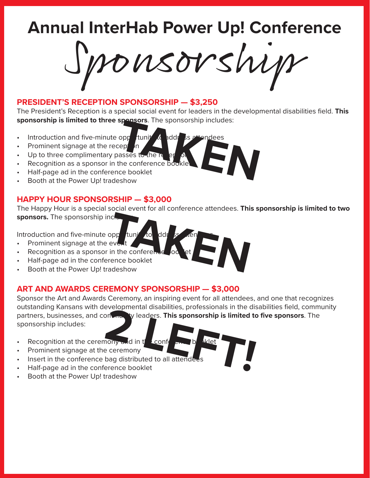Sponsorship

### **PRESIDENT'S RECEPTION SPONSORSHIP — \$3,250**

The President's Reception is a special social event for leaders in the developmental disabilities field. **This sponsorship is limited to three sponsors**. The sponsorship includes: **Spansors:** The sponsorship lictuates.<br> **TAKENS**<br> **TAKENS**<br> **TAKENS**<br> **TAKENS**<br> **TAKENS**<br> **TAKENS**<br> **TAKENS**<br> **TAKENS**<br> **TAKENS**<br> **TAKENS**<br> **TAKENS**<br> **TAKENS**<br> **TAKENS**<br> **TAKENS**<br> **TAKENS**<br> **TAKENS**<br> **TAKENS**<br> **TAKENS**<br> **T** 

- Introduction and five-minute opportunity to address a
- Prominent signage at the reception
- Up to three complimentary passes to the re
- Recognition as a sponsor in the conference bookle
- Half-page ad in the conference booklet
- Booth at the Power Up! tradeshow

### **HAPPY HOUR SPONSORSHIP — \$3,000**

The Happy Hour is a special social event for all conference attendees. **This sponsorship is limited to two**  sponsors. The sponsorship incluppp tunit to ddr & cen<br>event<br>in the conference booklet<br>rence booklet<br>adeshow

Introduction and five-minute  $opp$  tunity to ddr

- Prominent signage at the event
- Recognition as a sponsor in the conferent
- Half-page ad in the conference booklet
- Booth at the Power Up! tradeshow

### **ART AND AWARDS CEREMONY SPONSORSHIP — \$3,000**

Sponsor the Art and Awards Ceremony, an inspiring event for all attendees, and one that recognizes outstanding Kansans with developmental disabilities, professionals in the disabilities field, community partners, businesses, and contenue we leaders. **This sponsorship is limited to five sponsors.** The sponsorship includes:<br>
<br> **2** Recognition at the ceremony and in the conference boat attenders<br> **2** Prominent signage at the sponsorship includes:

- Recognition at the ceremony and in  $t^{\prime}$  conference books
- Prominent signage at the ceremony
- Insert in the conference bag distributed to all attende
- Half-page ad in the conference booklet
- Booth at the Power Up! tradeshow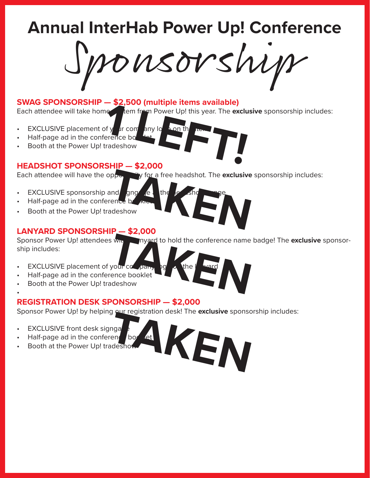Sponsorship

### **SWAG SPONSORSHIP — \$2,500 (multiple items available)**

Each attendee will take home and item from Power Up! this year. The exclusive sponsorship includes:<br> **1 LEFT INCLUSIVE** placement of year. The exclusive sponsorship includes:<br> **1 LEFT INCLUSIVE** placement of year.<br> **1 LEFT** 

- **EXCLUSIVE** placement of your company logo on the
- Half-page ad in the conference bo
- Booth at the Power Up! tradeshow

### **HEADSHOT SPONSORSHIP — \$2,000**

Each attendee will have the opportunity for a free headshot. The **exclusive** sponsorship includes:

- **EXCLUSIVE sponsorship and gngage at the**
- Half-page ad in the conference bot
- Booth at the Power Up! tradeshow

### **LANYARD SPONSORSHIP — \$2,000**

Sponsor Power Up! attendees with a lanyard to hold the conference name badge! The **exclusive** sponsorship includes:

- **EXCLUSIVE placement of your company logo on the language on the language on the language of the language of the language of the language of the language of the language of the language of the language of the language of**
- Half-page ad in the conference booklet
- Booth at the Power Up! tradeshow

### **REGISTRATION DESK SPONSORSHIP — \$2,000**

Sponsor Power Up! by helping our registration desk! The exclusive sponsorship includes:

**EXCLUSIVE front desk signga** 

•

- Half-page ad in the conference book let
- Booth at the Power Up! tradeshow
- **TAKEN**
- Why myard to hold the conference name<br>your company<br>and the ward<br>adeshow

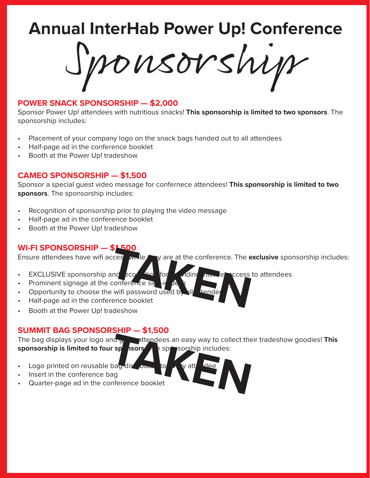Sponsorship

#### **POWER SNACK SPONSORSHIP — \$2,000**

Sponsor Power Up! attendees with nutritious snacks! **This sponsorship is limited to two sponsors**. The sponsorship includes:

- Placement of your company logo on the snack bags handed out to all attendees
- Half-page ad in the conference booklet
- Booth at the Power Up! tradeshow

#### **CAMEO SPONSORSHIP — \$1,500**

Sponsor a special guest video message for confernece attendees! **This sponsorship is limited to two sponsors**. The sponsorship includes:

- Recognition of sponsorship prior to playing the video message
- Half-page ad in the conference booklet
- Booth at the Power Up! tradeshow

#### **WI-FI SPONSORSHIP — \$1,500**

Ensure attendees have wifi acces while they are at the conference. The **exclusive** sponsorship includes: exerces while the y are at the conference. The exerces conference sig the state of the state of the state of the state of the state of the state of the state of the state of the state of the state of the state of the state

- EXCLUSIVE sponsorship and **recognition for providing internet access to attendees**
- Prominent signage at the conference sig
- Opportunity to choose the wifi password used b
- Half-page ad in the conference booklet
- Booth at the Power Up! tradeshow

**SUMMIT BAG SPONSORSHIP — \$1,500**<br>The bag displays your logo and graph attendees **This** attendees an easy way to collect their tradeshow goodies! **This sponsorship is limited to four sponsors** as a sponsorship includes:

- Logo printed on reusable bag distributed to the v att
- Insert in the conference bag
- Quarter-page ad in the conference booklet

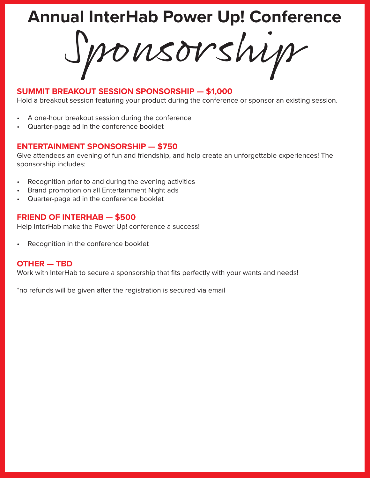Sponsorship

### **SUMMIT BREAKOUT SESSION SPONSORSHIP — \$1,000**

Hold a breakout session featuring your product during the conference or sponsor an existing session.

- A one-hour breakout session during the conference
- Quarter-page ad in the conference booklet

### **ENTERTAINMENT SPONSORSHIP — \$750**

Give attendees an evening of fun and friendship, and help create an unforgettable experiences! The sponsorship includes:

- Recognition prior to and during the evening activities
- Brand promotion on all Entertainment Night ads
- Quarter-page ad in the conference booklet

### **FRIEND OF INTERHAB — \$500**

Help InterHab make the Power Up! conference a success!

Recognition in the conference booklet

### **OTHER — TBD**

Work with InterHab to secure a sponsorship that fits perfectly with your wants and needs!

\*no refunds will be given after the registration is secured via email